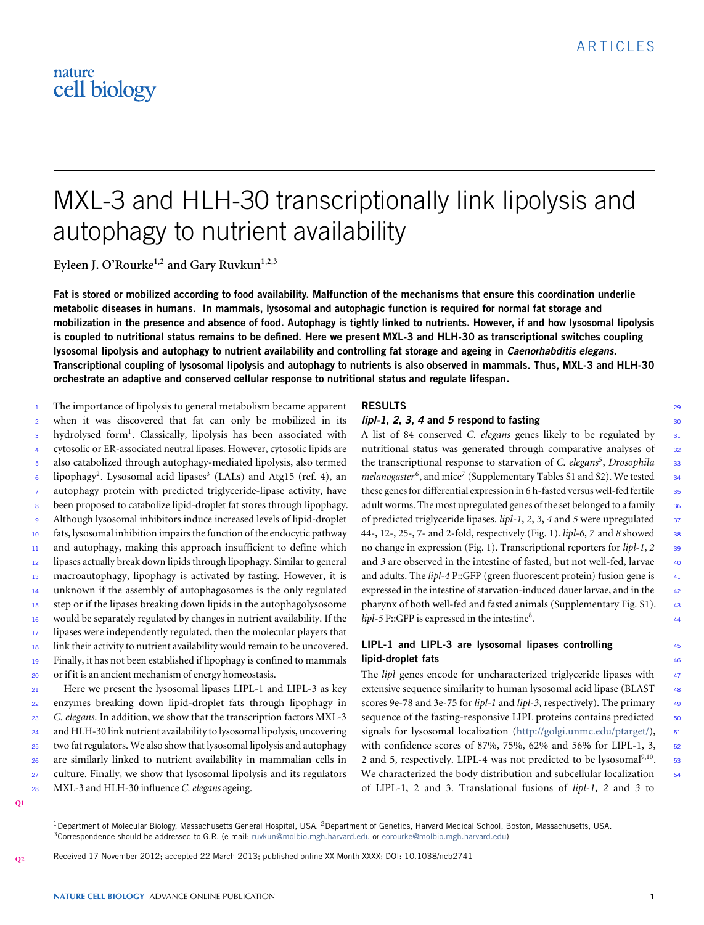# MXL-3 and HLH-30 transcriptionally link lipolysis and autophagy to nutrient availability

**Eyleen J. O'Rourke1,2 and Gary Ruvkun1,2,3**

**Fat is stored or mobilized according to food availability. Malfunction of the mechanisms that ensure this coordination underlie metabolic diseases in humans. In mammals, lysosomal and autophagic function is required for normal fat storage and mobilization in the presence and absence of food. Autophagy is tightly linked to nutrients. However, if and how lysosomal lipolysis is coupled to nutritional status remains to be defined. Here we present MXL-3 and HLH-30 as transcriptional switches coupling lysosomal lipolysis and autophagy to nutrient availability and controlling fat storage and ageing in** *Caenorhabditis elegans***. Transcriptional coupling of lysosomal lipolysis and autophagy to nutrients is also observed in mammals. Thus, MXL-3 and HLH-30 orchestrate an adaptive and conserved cellular response to nutritional status and regulate lifespan.**

The importance of lipolysis to general metabolism became apparent <sup>2</sup> when it was discovered that fat can only be mobilized in its 3 hydrolysed form<sup>1</sup>. Classically, lipolysis has been associated with <sup>4</sup> cytosolic or ER-associated neutral lipases. However, cytosolic lipids are <sup>5</sup> also catabolized through autophagy-mediated lipolysis, also termed  $\epsilon$  lipophagy<sup>2</sup>. Lysosomal acid lipases<sup>3</sup> (LALs) and Atg15 (ref. 4), an autophagy protein with predicted triglyceride-lipase activity, have <sup>8</sup> been proposed to catabolize lipid-droplet fat stores through lipophagy. <sup>9</sup> Although lysosomal inhibitors induce increased levels of lipid-droplet <sup>10</sup> fats, lysosomal inhibition impairs the function of the endocytic pathway 11 and autophagy, making this approach insufficient to define which <sup>12</sup> lipases actually break down lipids through lipophagy. Similar to general <sup>13</sup> macroautophagy, lipophagy is activated by fasting. However, it is <sup>14</sup> unknown if the assembly of autophagosomes is the only regulated <sup>15</sup> step or if the lipases breaking down lipids in the autophagolysosome <sup>16</sup> would be separately regulated by changes in nutrient availability. If the <sup>17</sup> lipases were independently regulated, then the molecular players that 18 link their activity to nutrient availability would remain to be uncovered. <sup>19</sup> Finally, it has not been established if lipophagy is confined to mammals or if it is an ancient mechanism of energy homeostasis. 20 <sup>21</sup> Here we present the lysosomal lipases LIPL-1 and LIPL-3 as key

 enzymes breaking down lipid-droplet fats through lipophagy in *C. elegans*. In addition, we show that the transcription factors MXL-3 and HLH-30 link nutrient availability to lysosomal lipolysis, uncovering two fat regulators. We also show that lysosomal lipolysis and autophagy are similarly linked to nutrient availability in mammalian cells in culture. Finally, we show that lysosomal lipolysis and its regulators MXL-3 and HLH-30 influence *C. elegans* ageing. 28

### **RESULTS** <sup>29</sup>

#### *lipl-1, 2, 3, 4* and *5* respond to fasting  $30$

A list of 84 conserved *C. elegans* genes likely to be regulated by <sup>31</sup> nutritional status was generated through comparative analyses of <sup>32</sup> the transcriptional response to starvation of *C. elegans<sup>5</sup>*, *Drosophila* 33 melanogaster<sup>6</sup>, and mice<sup>7</sup> (Supplementary Tables S1 and S2). We tested 34 these genes for differential expression in 6 h-fasted versus well-fed fertile 35 adult worms. The most upregulated genes of the set belonged to a family 36 of predicted triglyceride lipases. *lipl-1*, *2*, *3*, *4* and *5* were upregulated <sup>37</sup> 44-, 12-, 25-, 7- and 2-fold, respectively [\(Fig.](#page-1-0) [1\)](#page-1-0). *lipl-6*, *7* and *8* showed <sup>38</sup> no change in expression [\(Fig.](#page-1-0) [1\)](#page-1-0). Transcriptional reporters for *lipl-1*, *2* <sup>39</sup> and 3 are observed in the intestine of fasted, but not well-fed, larvae 40 and adults. The *lipl-4* P::GFP (green fluorescent protein) fusion gene is  $41$ expressed in the intestine of starvation-induced dauer larvae, and in the 42 pharynx of both well-fed and fasted animals (Supplementary Fig. S1). <sup>43</sup> *lipl-5* P::GFP is expressed in the intestine<sup>8</sup>. **.** 44

#### **LIPL-1 and LIPL-3 are lysosomal lipases controlling** <sup>45</sup> **lipid-droplet fats** 46

The *lipl* genes encode for uncharacterized triglyceride lipases with 47 extensive sequence similarity to human lysosomal acid lipase (BLAST  $48$ scores 9e-78 and 3e-75 for *lipl-1* and *lipl-3*, respectively). The primary <sup>49</sup> sequence of the fasting-responsive LIPL proteins contains predicted 50 signals for lysosomal localization [\(http://golgi.unmc.edu/ptarget/\)](http://golgi.unmc.edu/ptarget/), 51 with confidence scores of 87%, 75%, 62% and 56% for LIPL-1, 3, 52 2 and 5, respectively. LIPL-4 was not predicted to be lysosomal<sup>9,10</sup>. We characterized the body distribution and subcellular localization 54 of LIPL-1, 2 and 3. Translational fusions of *lipl-1*, *2* and *3* to

<span id="page-0-1"></span>**[Q2](#page-11-1)**

<sup>1</sup> Department of Molecular Biology, Massachusetts General Hospital, USA. <sup>2</sup> Department of Genetics, Harvard Medical School, Boston, Massachusetts, USA. <sup>3</sup>Correspondence should be addressed to G.R. (e-mail: [ruvkun@molbio.mgh.harvard.edu](mailto:ruvkun@molbio.mgh.harvard.edu) or [eorourke@molbio.mgh.harvard.edu\)](mailto:eorourke@molbio.mgh.harvard.edu)

Received 17 November 2012; accepted 22 March 2013; published online XX Month XXXX; DOI: [10.1038/ncb2741](http://www.nature.com/doifinder/10.1038/ncb2741)

. <sup>53</sup>

<span id="page-0-0"></span>**[Q1](#page-11-0)**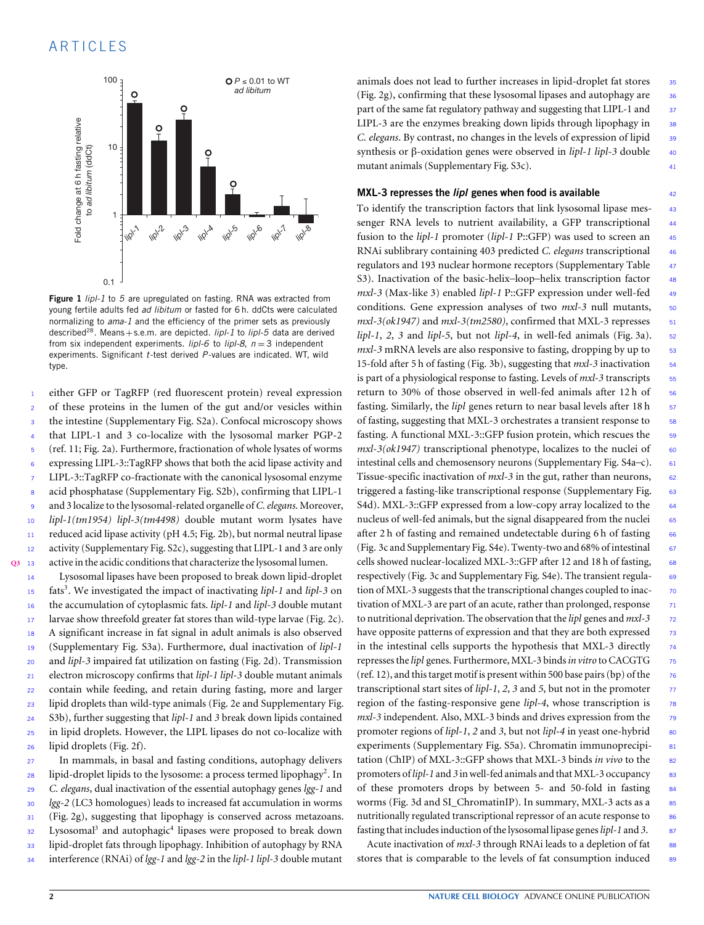

<span id="page-1-0"></span>**Figure 1** *lipl-1* to *5* are upregulated on fasting. RNA was extracted from young fertile adults fed *ad libitum* or fasted for 6 h. ddCts were calculated normalizing to *ama-1* and the efficiency of the primer sets as previously described<sup>28</sup>. Means+s.e.m. are depicted. *lipl-1* to *lipl-5* data are derived from six independent experiments. *lipl-6* to *lipl-8*, *n* = 3 independent experiments. Significant *t*-test derived *P*-values are indicated. WT, wild type.

 either GFP or TagRFP (red fluorescent protein) reveal expression of these proteins in the lumen of the gut and/or vesicles within the intestine (Supplementary Fig. S2a). Confocal microscopy shows that LIPL-1 and 3 co-localize with the lysosomal marker PGP-2 (ref. 11; [Fig.](#page-2-0) [2a](#page-2-0)). Furthermore, fractionation of whole lysates of worms expressing LIPL-3::TagRFP shows that both the acid lipase activity and LIPL-3::TagRFP co-fractionate with the canonical lysosomal enzyme acid phosphatase (Supplementary Fig. S2b), confirming that LIPL-1 and 3 localize to the lysosomal-related organelle of *C. elegans*. Moreover, *lipl-1(tm1954) lipl-3(tm4498)* double mutant worm lysates have reduced acid lipase activity (pH 4.5; [Fig.](#page-2-0) [2b](#page-2-0)), but normal neutral lipase 12 activity (Supplementary Fig. S2c), suggesting that LIPL-1 and 3 are only

<span id="page-1-1"></span>**[Q3](#page-11-2)** <sup>13</sup> active in the acidic conditions that characterize the lysosomal lumen. Lysosomal lipases have been proposed to break down lipid-droplet fats<sup>3</sup> <sup>15</sup> . We investigated the impact of inactivating *lipl-1* and *lipl-3* on the accumulation of cytoplasmic fats. *lipl-1* and *lipl-3* double mutant larvae show threefold greater fat stores than wild-type larvae [\(Fig.](#page-2-0) [2c](#page-2-0)). A significant increase in fat signal in adult animals is also observed (Supplementary Fig. S3a). Furthermore, dual inactivation of *lipl-1* and *lipl-3* impaired fat utilization on fasting [\(Fig.](#page-2-0) [2d](#page-2-0)). Transmission electron microscopy confirms that *lipl-1 lipl-3* double mutant animals contain while feeding, and retain during fasting, more and larger lipid droplets than wild-type animals (Fig. [2e](#page-2-0) and Supplementary Fig. S3b), further suggesting that *lipl-1* and *3* break down lipids contained in lipid droplets. However, the LIPL lipases do not co-localize with lipid droplets [\(Fig.](#page-2-0) [2f](#page-2-0)).

 In mammals, in basal and fasting conditions, autophagy delivers  $_{28}$  lipid-droplet lipids to the lysosome: a process termed lipophagy<sup>2</sup>. In *C. elegans*, dual inactivation of the essential autophagy genes *lgg-1* and *lgg-2* (LC3 homologues) leads to increased fat accumulation in worms [\(Fig.](#page-2-0) [2g](#page-2-0)), suggesting that lipophagy is conserved across metazoans. 32 Lysosomal<sup>3</sup> and autophagic<sup>4</sup> lipases were proposed to break down lipid-droplet fats through lipophagy. Inhibition of autophagy by RNA interference (RNAi) of *lgg-1* and *lgg-2* in the *lipl-1 lipl-3* double mutant

animals does not lead to further increases in lipid-droplet fat stores 35 [\(Fig.](#page-2-0) [2g](#page-2-0)), confirming that these lysosomal lipases and autophagy are <sup>36</sup> part of the same fat regulatory pathway and suggesting that LIPL-1 and 37 LIPL-3 are the enzymes breaking down lipids through lipophagy in  $\frac{38}{2}$ *C. elegans*. By contrast, no changes in the levels of expression of lipid 39 synthesis or β-oxidation genes were observed in *lipl-1 lipl-3* double 40 mutant animals (Supplementary Fig. S3c). <sup>41</sup>

#### **MXL-3 represses the** *lipl* **genes when food is available** <sup>42</sup>

To identify the transcription factors that link lysosomal lipase mes- <sup>43</sup> senger RNA levels to nutrient availability, a GFP transcriptional 44 fusion to the *lipl-1* promoter (*lipl-1* P::GFP) was used to screen an <sup>45</sup> RNAi sublibrary containing 403 predicted *C. elegans* transcriptional <sup>46</sup> regulators and 193 nuclear hormone receptors (Supplementary Table <sup>47</sup> S3). Inactivation of the basic-helix–loop–helix transcription factor 48 *mxl-3* (Max-like 3) enabled *lipl-1* P::GFP expression under well-fed 49 conditions. Gene expression analyses of two  $mxl-3$  null mutants, 50  $mxl-3(ok1947)$  and  $mxl-3(tm2580)$ , confirmed that MXL-3 represses  $51$  $lipl-1$ , 2, 3 and  $lipl-5$ , but not  $lipl-4$ , in well-fed animals [\(Fig.](#page-3-0) [3a](#page-3-0)). 52 *mxl-3* mRNA levels are also responsive to fasting, dropping by up to 53 15-fold after 5 h of fasting [\(Fig.](#page-3-0) [3b](#page-3-0)), suggesting that *mxl-3* inactivation <sup>54</sup> is part of a physiological response to fasting. Levels of *mxl*-3 transcripts 55 return to 30% of those observed in well-fed animals after 12h of 56 fasting. Similarly, the *lipl* genes return to near basal levels after 18 h <sup>57</sup> of fasting, suggesting that MXL-3 orchestrates a transient response to 58 fasting. A functional MXL-3::GFP fusion protein, which rescues the 59  $mxl-3(ok1947)$  transcriptional phenotype, localizes to the nuclei of 60 intestinal cells and chemosensory neurons (Supplementary Fig. S4a–c). 61 Tissue-specific inactivation of *mxl*-3 in the gut, rather than neurons, 62 triggered a fasting-like transcriptional response (Supplementary Fig. 63 S4d). MXL-3::GFP expressed from a low-copy array localized to the 64 nucleus of well-fed animals, but the signal disappeared from the nuclei 65 after 2 h of fasting and remained undetectable during 6 h of fasting  $66$ [\(Fig.](#page-3-0) [3c](#page-3-0) and Supplementary Fig. S4e). Twenty-two and 68% of intestinal  $\frac{67}{67}$ cells showed nuclear-localized MXL-3::GFP after 12 and 18 h of fasting, 68 respectively [\(Fig.](#page-3-0) [3c](#page-3-0) and Supplementary Fig. S4e). The transient regula- 69 tion of MXL-3 suggests that the transcriptional changes coupled to inac-<br>
<sup>70</sup> tivation of MXL-3 are part of an acute, rather than prolonged, response 71 to nutritional deprivation. The observation that the *lipl* genes and *mxl-3* <sup>72</sup> have opposite patterns of expression and that they are both expressed 73 in the intestinal cells supports the hypothesis that MXL-3 directly 74 represses the *lipl* genes. Furthermore, MXL-3 binds*in vitro* to CACGTG <sup>75</sup> (ref. 12), and this target motif is present within 500 base pairs (bp) of the  $\frac{76}{6}$ transcriptional start sites of *lipl-1*, *2*, *3* and *5*, but not in the promoter <sup>77</sup> region of the fasting-responsive gene *lipl-4*, whose transcription is <sup>78</sup> *mxl*-3 independent. Also, MXL-3 binds and drives expression from the 79 promoter regions of *lipl-1*, 2 and 3, but not *lipl-4* in yeast one-hybrid 80 experiments (Supplementary Fig. S5a). Chromatin immunoprecipi-<br>81 tation (ChIP) of MXL-3::GFP shows that MXL-3 binds *in vivo* to the 82 promoters of *lipl-1* and *3* in well-fed animals and that MXL-3 occupancy <sup>83</sup> of these promoters drops by between 5- and 50-fold in fasting 84 worms [\(Fig.](#page-3-0) [3d](#page-3-0) and SI\_ChromatinIP). In summary, MXL-3 acts as a 85 nutritionally regulated transcriptional repressor of an acute response to <sup>86</sup> fasting that includes induction of the lysosomal lipase genes*lipl-1* and *3*. <sup>87</sup>

Acute inactivation of *mxl*-3 through RNAi leads to a depletion of fat 88 stores that is comparable to the levels of fat consumption induced 89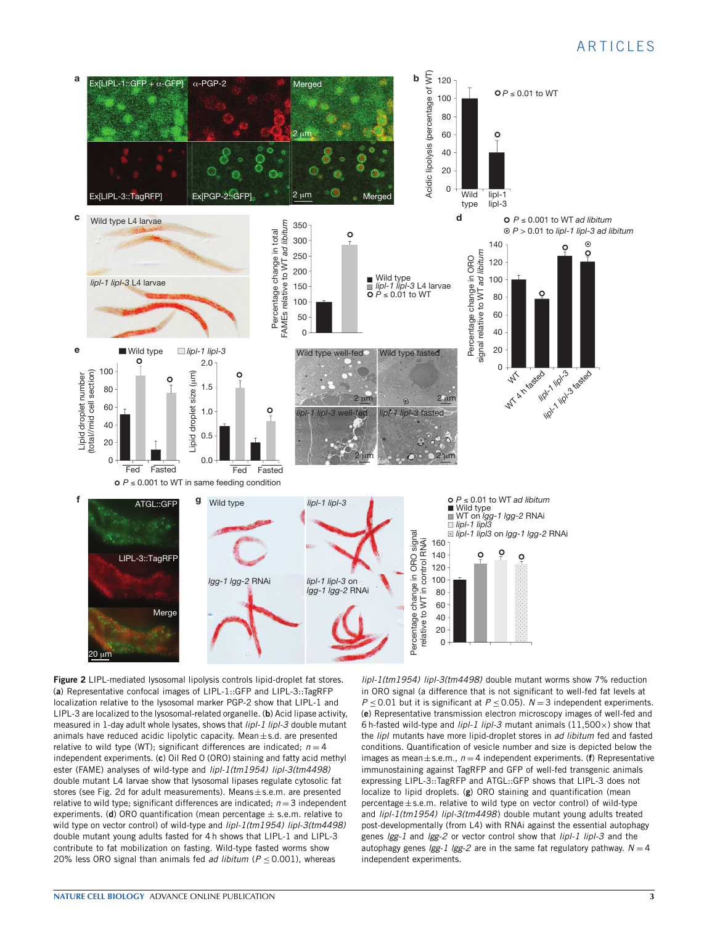

<span id="page-2-0"></span>**Figure 2** LIPL-mediated lysosomal lipolysis controls lipid-droplet fat stores. (**a**) Representative confocal images of LIPL-1::GFP and LIPL-3::TagRFP localization relative to the lysosomal marker PGP-2 show that LIPL-1 and LIPL-3 are localized to the lysosomal-related organelle. (**b**) Acid lipase activity, measured in 1-day adult whole lysates, shows that *lipl-1 lipl-3* double mutant animals have reduced acidic lipolytic capacity. Mean $\pm$ s.d. are presented relative to wild type (WT); significant differences are indicated;  $n = 4$ independent experiments. (**c**) Oil Red O (ORO) staining and fatty acid methyl ester (FAME) analyses of wild-type and *lipl-1(tm1954) lipl-3(tm4498)* double mutant L4 larvae show that lysosomal lipases regulate cytosolic fat stores (see Fig. 2d for adult measurements). Means±s.e.m. are presented relative to wild type; significant differences are indicated;  $n = 3$  independent experiments. (**d**) ORO quantification (mean percentage  $\pm$  s.e.m. relative to wild type on vector control) of wild-type and *lipl-1(tm1954) lipl-3(tm4498)* double mutant young adults fasted for 4 h shows that LIPL-1 and LIPL-3 contribute to fat mobilization on fasting. Wild-type fasted worms show 20% less ORO signal than animals fed *ad libitum* ( $P \le 0.001$ ), whereas

*lipl-1(tm1954) lipl-3(tm4498)* double mutant worms show 7% reduction in ORO signal (a difference that is not significant to well-fed fat levels at *P*  $\leq$  0.01 but it is significant at *P*  $\leq$  0.05). *N* = 3 independent experiments. (**e**) Representative transmission electron microscopy images of well-fed and 6 h-fasted wild-type and *lipl-1 lipl-3* mutant animals (11,500×) show that the *lipl* mutants have more lipid-droplet stores in *ad libitum* fed and fasted conditions. Quantification of vesicle number and size is depicted below the images as mean $\pm$ s.e.m.,  $n = 4$  independent experiments. (**f**) Representative immunostaining against TagRFP and GFP of well-fed transgenic animals expressing LIPL-3::TagRFP and ATGL::GFP shows that LIPL-3 does not localize to lipid droplets. (**g**) ORO staining and quantification (mean percentage±s.e.m. relative to wild type on vector control) of wild-type and *lipl-1(tm1954) lipl-3(tm4498*) double mutant young adults treated post-developmentally (from L4) with RNAi against the essential autophagy genes *lgg-1* and *lgg-2* or vector control show that *lipl-1 lipl-3* and the autophagy genes  $lgg-1$   $lgg-2$  are in the same fat regulatory pathway.  $N=4$ independent experiments.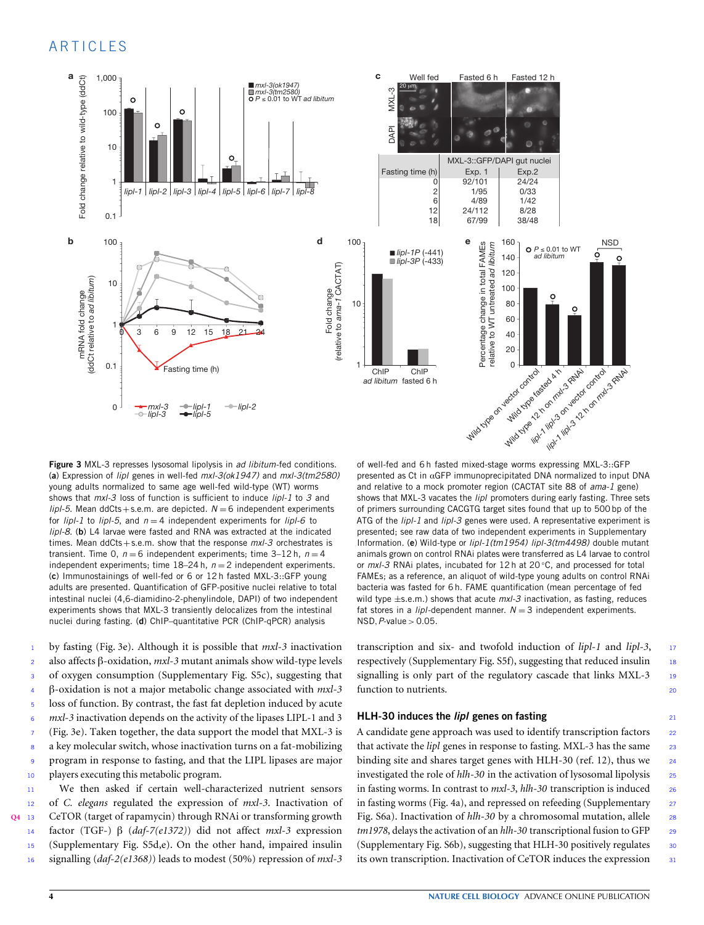

<span id="page-3-0"></span>**Figure 3** MXL-3 represses lysosomal lipolysis in *ad libitum*-fed conditions. (**a**) Expression of *lipl* genes in well-fed *mxl-3(ok1947)* and *mxl-3(tm2580)* young adults normalized to same age well-fed wild-type (WT) worms shows that *mxl-3* loss of function is sufficient to induce *lipl-1* to *3* and *lipl-5*. Mean ddCts+s.e.m. are depicted.  $N = 6$  independent experiments for  $lipI-1$  to  $lipI-5$ , and  $n=4$  independent experiments for  $lipI-6$  to *lipl-8*. (**b**) L4 larvae were fasted and RNA was extracted at the indicated times. Mean ddCts+s.e.m. show that the response *mxl-3* orchestrates is transient. Time 0,  $n = 6$  independent experiments; time  $3-12$  h,  $n = 4$ independent experiments; time  $18-24$  h,  $n=2$  independent experiments. (**c**) Immunostainings of well-fed or 6 or 12 h fasted MXL-3::GFP young adults are presented. Quantification of GFP-positive nuclei relative to total intestinal nuclei (4,6-diamidino-2-phenylindole, DAPI) of two independent experiments shows that MXL-3 transiently delocalizes from the intestinal nuclei during fasting. (**d**) ChIP–quantitative PCR (ChIP-qPCR) analysis

 by fasting [\(Fig.](#page-3-0) [3e](#page-3-0)). Although it is possible that *mxl-3* inactivation also affects β-oxidation, *mxl-3* mutant animals show wild-type levels of oxygen consumption (Supplementary Fig. S5c), suggesting that β-oxidation is not a major metabolic change associated with *mxl-3* loss of function. By contrast, the fast fat depletion induced by acute *mxl-3* inactivation depends on the activity of the lipases LIPL-1 and 3 [\(Fig.](#page-3-0) [3e](#page-3-0)). Taken together, the data support the model that MXL-3 is a key molecular switch, whose inactivation turns on a fat-mobilizing program in response to fasting, and that the LIPL lipases are major players executing this metabolic program.

<span id="page-3-1"></span> We then asked if certain well-characterized nutrient sensors of *C. elegans* regulated the expression of *mxl-3*. Inactivation of **[Q4](#page-11-3)** <sup>13</sup> CeTOR (target of rapamycin) through RNAi or transforming growth factor (TGF-) β (*daf-7(e1372)*) did not affect *mxl-3* expression (Supplementary Fig. S5d,e). On the other hand, impaired insulin signalling (*daf-2(e1368)*) leads to modest (50%) repression of *mxl-3*

of well-fed and 6 h fasted mixed-stage worms expressing MXL-3::GFP presented as Ct in  $\alpha$ GFP immunoprecipitated DNA normalized to input DNA and relative to a mock promoter region (CACTAT site 88 of *ama-1* gene) shows that MXL-3 vacates the *lipl* promoters during early fasting. Three sets of primers surrounding CACGTG target sites found that up to 500 bp of the ATG of the *lipl-1* and *lipl-3* genes were used. A representative experiment is presented; see raw data of two independent experiments in Supplementary Information. (**e**) Wild-type or *lipl-1(tm1954) lipl-3(tm4498)* double mutant animals grown on control RNAi plates were transferred as L4 larvae to control or *mxl-3* RNAi plates, incubated for 12 h at 20 ◦C, and processed for total FAMEs; as a reference, an aliquot of wild-type young adults on control RNAi bacteria was fasted for 6 h. FAME quantification (mean percentage of fed wild type ±s.e.m.) shows that acute *mxl-3* inactivation, as fasting, reduces fat stores in a *lipl*-dependent manner.  $N = 3$  independent experiments. NSD,*P*-value > 0.05.

transcription and six- and twofold induction of *lipl-1* and *lipl-3*, <sup>17</sup> respectively (Supplementary Fig. S5f), suggesting that reduced insulin <sup>18</sup> signalling is only part of the regulatory cascade that links MXL-3 19 function to nutrients.

#### **HLH-30 induces the** *lipl* **genes on fasting** <sup>21</sup>

A candidate gene approach was used to identify transcription factors 22 that activate the *lipl* genes in response to fasting. MXL-3 has the same 23 binding site and shares target genes with HLH-30 (ref. 12), thus we 24 investigated the role of *hlh-30* in the activation of lysosomal lipolysis <sup>25</sup> in fasting worms. In contrast to *mxl-3*, *hlh-30* transcription is induced <sup>26</sup> in fasting worms [\(Fig.](#page-4-0) [4a](#page-4-0)), and repressed on refeeding (Supplementary 27 Fig. S6a). Inactivation of *hlh-30* by a chromosomal mutation, allele 28 *tm1978*, delays the activation of an *hlh-30* transcriptional fusion to GFP <sup>29</sup> (Supplementary Fig. S6b), suggesting that HLH-30 positively regulates <sup>30</sup> its own transcription. Inactivation of CeTOR induces the expression 31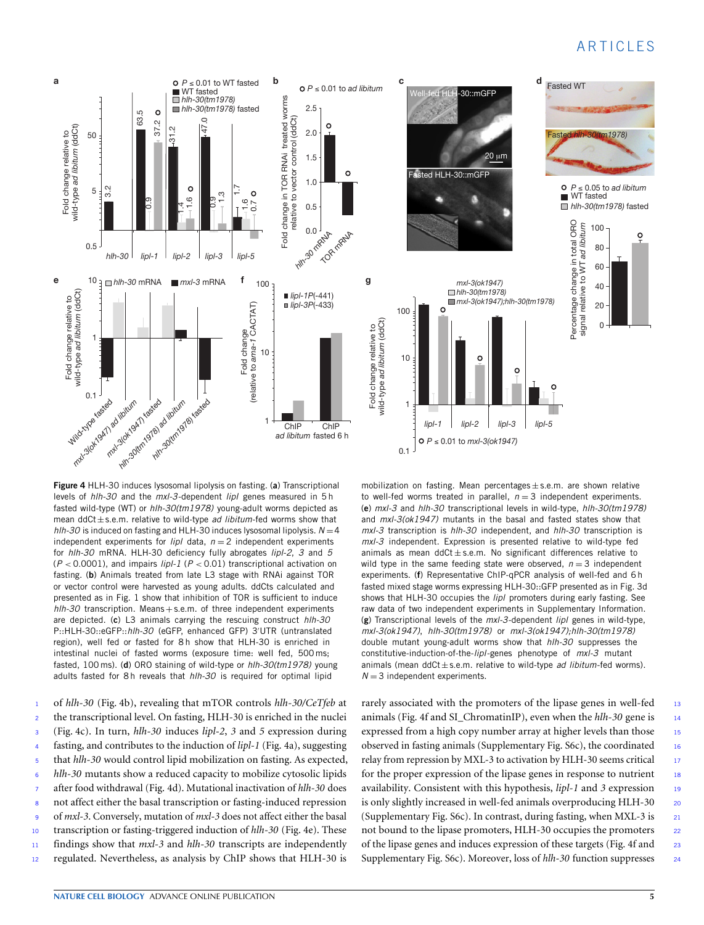

<span id="page-4-0"></span>**Figure 4** HLH-30 induces lysosomal lipolysis on fasting. (**a**) Transcriptional levels of *hlh-30* and the *mxl-3*-dependent *lipl* genes measured in 5 h fasted wild-type (WT) or *hlh-30(tm1978)* young-adult worms depicted as mean ddCt±s.e.m. relative to wild-type *ad libitum*-fed worms show that  $h/h-30$  is induced on fasting and HLH-30 induces lysosomal lipolysis.  $N=4$ independent experiments for  $lipI$  data,  $n = 2$  independent experiments for *hlh-30* mRNA. HLH-30 deficiency fully abrogates *lipl-2*, *3* and *5* (*P* < 0.0001), and impairs *lipl-1* (*P* < 0.01) transcriptional activation on fasting. (**b**) Animals treated from late L3 stage with RNAi against TOR or vector control were harvested as young adults. ddCts calculated and presented as in Fig. 1 show that inhibition of TOR is sufficient to induce *hlh-30* transcription. Means+s.e.m. of three independent experiments are depicted. (**c**) L3 animals carrying the rescuing construct *hlh-30* P::HLH-30::eGFP::hlh-30 (eGFP, enhanced GFP) 3'UTR (untranslated region), well fed or fasted for 8 h show that HLH-30 is enriched in intestinal nuclei of fasted worms (exposure time: well fed, 500 ms; fasted, 100 ms). (**d**) ORO staining of wild-type or *hlh-30(tm1978)* young adults fasted for 8 h reveals that *hlh-30* is required for optimal lipid

 of *hlh-30* [\(Fig.](#page-4-0) [4b](#page-4-0)), revealing that mTOR controls *hlh-30/CeTfeb* at the transcriptional level. On fasting, HLH-30 is enriched in the nuclei [\(Fig.](#page-4-0) [4c](#page-4-0)). In turn, *hlh-30* induces *lipl-2*, *3* and *5* expression during fasting, and contributes to the induction of *lipl-1* [\(Fig.](#page-4-0) [4a](#page-4-0)), suggesting that *hlh-30* would control lipid mobilization on fasting. As expected, *hlh-30* mutants show a reduced capacity to mobilize cytosolic lipids after food withdrawal [\(Fig.](#page-4-0) [4d](#page-4-0)). Mutational inactivation of *hlh-30* does not affect either the basal transcription or fasting-induced repression of *mxl-3*. Conversely, mutation of *mxl-3* does not affect either the basal transcription or fasting-triggered induction of *hlh-30* [\(Fig.](#page-4-0) [4e](#page-4-0)). These findings show that *mxl-3* and *hlh-30* transcripts are independently 12 regulated. Nevertheless, as analysis by ChIP shows that HLH-30 is mobilization on fasting. Mean percentages  $\pm$  s.e.m. are shown relative to well-fed worms treated in parallel,  $n = 3$  independent experiments. (**e**) *mxl-3* and *hlh-30* transcriptional levels in wild-type, *hlh-30(tm1978)* and *mxl-3(ok1947)* mutants in the basal and fasted states show that *mxl-3* transcription is *hlh-30* independent, and *hlh-30* transcription is *mxl-3* independent. Expression is presented relative to wild-type fed animals as mean  $ddCt \pm s.e.m.$  No significant differences relative to wild type in the same feeding state were observed,  $n = 3$  independent experiments. (**f**) Representative ChIP-qPCR analysis of well-fed and 6 h fasted mixed stage worms expressing HLH-30::GFP presented as in Fig. 3d shows that HLH-30 occupies the *lipl* promoters during early fasting. See raw data of two independent experiments in Supplementary Information. (**g**) Transcriptional levels of the *mxl-3*-dependent *lipl* genes in wild-type, *mxl-3(ok1947)*, *hlh-30(tm1978)* or *mxl-3(ok1947);hlh-30(tm1978)* double mutant young-adult worms show that *hlh-30* suppresses the constitutive-induction-of-the-*lipl*-genes phenotype of *mxl-3* mutant animals (mean ddCt±s.e.m. relative to wild-type *ad libitum*-fed worms).  $N = 3$  independent experiments.

rarely associated with the promoters of the lipase genes in well-fed 13 animals [\(Fig.](#page-4-0) [4f](#page-4-0) and SI\_ChromatinIP), even when the *hlh-30* gene is <sup>14</sup> expressed from a high copy number array at higher levels than those 15 observed in fasting animals (Supplementary Fig. S6c), the coordinated <sup>16</sup> relay from repression by MXL-3 to activation by HLH-30 seems critical 17 for the proper expression of the lipase genes in response to nutrient  $\frac{18}{18}$ availability. Consistent with this hypothesis, *lipl-1* and 3 expression 19 is only slightly increased in well-fed animals overproducing HLH-30 20 (Supplementary Fig. S6c). In contrast, during fasting, when MXL-3 is <sup>21</sup> not bound to the lipase promoters, HLH-30 occupies the promoters 22 of the lipase genes and induces expression of these targets [\(Fig.](#page-4-0) [4f](#page-4-0) and <sup>23</sup> Supplementary Fig. S6c). Moreover, loss of *hlh-30* function suppresses <sup>24</sup>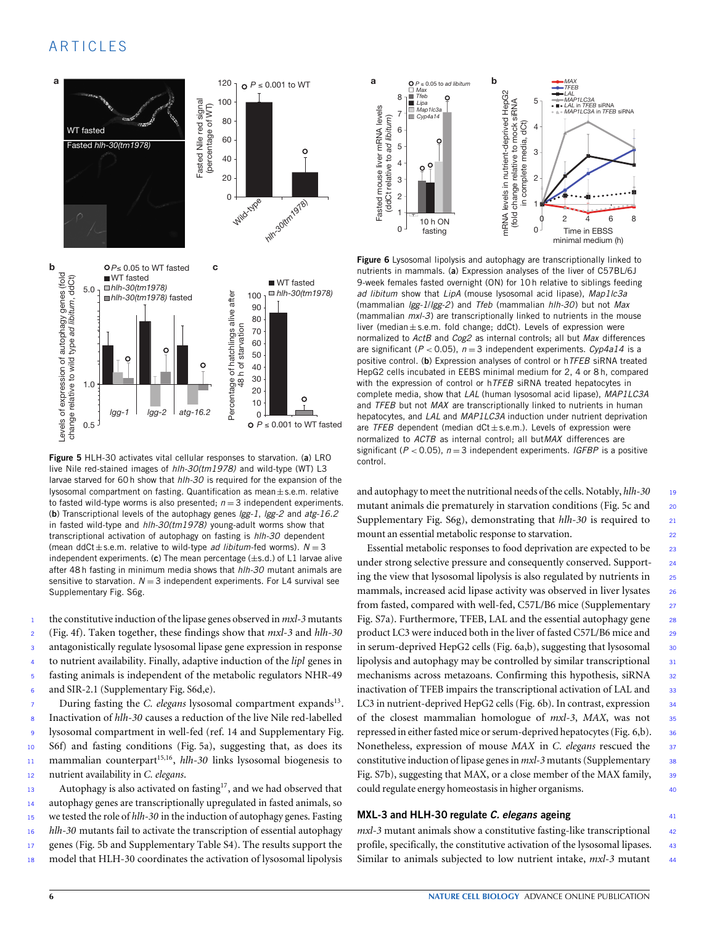

<span id="page-5-0"></span>**Figure 5** HLH-30 activates vital cellular responses to starvation. (**a**) LRO live Nile red-stained images of *hlh-30(tm1978)* and wild-type (WT) L3 larvae starved for 60 h show that *hlh-30* is required for the expansion of the lysosomal compartment on fasting. Quantification as mean±s.e.m. relative to fasted wild-type worms is also presented;  $n = 3$  independent experiments. (**b**) Transcriptional levels of the autophagy genes *lgg-1*, *lgg-2* and *atg-16.2* in fasted wild-type and *hlh-30(tm1978)* young-adult worms show that transcriptional activation of autophagy on fasting is *hlh-30* dependent (mean ddCt $\pm$ s.e.m. relative to wild-type *ad libitum*-fed worms).  $N = 3$ independent experiments. (**c**) The mean percentage (±s.d.) of L1 larvae alive after 48 h fasting in minimum media shows that *hlh-30* mutant animals are sensitive to starvation.  $N = 3$  independent experiments. For L4 survival see Supplementary Fig. S6g.

 the constitutive induction of the lipase genes observed in *mxl-3* mutants [\(Fig.](#page-4-0) [4f](#page-4-0)). Taken together, these findings show that *mxl-3* and *hlh-30* antagonistically regulate lysosomal lipase gene expression in response to nutrient availability. Finally, adaptive induction of the *lipl* genes in fasting animals is independent of the metabolic regulators NHR-49 and SIR-2.1 (Supplementary Fig. S6d,e).

7 During fasting the *C. elegans* lysosomal compartment expands<sup>13</sup>. Inactivation of *hlh-30* causes a reduction of the live Nile red-labelled lysosomal compartment in well-fed (ref. 14 and Supplementary Fig. S6f) and fasting conditions [\(Fig.](#page-5-0) [5a](#page-5-0)), suggesting that, as does its 11 mammalian counterpart<sup>15,16</sup>, *hlh-30* links lysosomal biogenesis to nutrient availability in *C. elegans*.

13 Autophagy is also activated on fasting<sup>17</sup>, and we had observed that autophagy genes are transcriptionally upregulated in fasted animals, so we tested the role of *hlh-30* in the induction of autophagy genes. Fasting *hlh-30* mutants fail to activate the transcription of essential autophagy 17 genes [\(Fig.](#page-5-0) [5b](#page-5-0) and Supplementary Table S4). The results support the model that HLH-30 coordinates the activation of lysosomal lipolysis



<span id="page-5-1"></span>**Figure 6** Lysosomal lipolysis and autophagy are transcriptionally linked to nutrients in mammals. (**a**) Expression analyses of the liver of C57BL/6J 9-week females fasted overnight (ON) for 10 h relative to siblings feeding *ad libitum* show that *LipA* (mouse lysosomal acid lipase), *Map1lc3a* (mammalian *lgg-1*/*lgg-2*) and *Tfeb* (mammalian *hlh-30*) but not *Max* (mammalian *mxl-3*) are transcriptionally linked to nutrients in the mouse liver (median $\pm$ s.e.m. fold change; ddCt). Levels of expression were normalized to *ActB* and *Cog2* as internal controls; all but *Max* differences are significant (*P* < 0.05), *n* = 3 independent experiments. *Cyp4a14* is a positive control. (**b**) Expression analyses of control or h*TFEB* siRNA treated HepG2 cells incubated in EEBS minimal medium for 2, 4 or 8 h, compared with the expression of control or h*TFEB* siRNA treated hepatocytes in complete media, show that *LAL* (human lysosomal acid lipase), *MAP1LC3A* and *TFEB* but not *MAX* are transcriptionally linked to nutrients in human hepatocytes, and *LAL* and *MAP1LC3A* induction under nutrient deprivation are *TFEB* dependent (median dCt±s.e.m.). Levels of expression were normalized to *ACTB* as internal control; all but*MAX* differences are significant ( $P < 0.05$ ),  $n = 3$  independent experiments. *IGFBP* is a positive control.

and autophagy to meet the nutritional needs of the cells. Notably, *hlh-30* <sup>19</sup> mutant animals die prematurely in starvation conditions [\(Fig.](#page-5-0) [5c](#page-5-0) and <sup>20</sup> Supplementary Fig. S6g), demonstrating that *hlh-30* is required to <sup>21</sup> mount an essential metabolic response to starvation. <sup>22</sup>

Essential metabolic responses to food deprivation are expected to be <sup>23</sup> under strong selective pressure and consequently conserved. Support-<br>
<sup>24</sup> ing the view that lysosomal lipolysis is also regulated by nutrients in  $25$ mammals, increased acid lipase activity was observed in liver lysates 26 from fasted, compared with well-fed, C57L/B6 mice (Supplementary 27 Fig. S7a). Furthermore, TFEB, LAL and the essential autophagy gene 28 product LC3 were induced both in the liver of fasted C57L/B6 mice and 29 in serum-deprived HepG2 cells [\(Fig.](#page-5-1) [6a](#page-5-1),b), suggesting that lysosomal  $30$ lipolysis and autophagy may be controlled by similar transcriptional 31 mechanisms across metazoans. Confirming this hypothesis, siRNA 32 inactivation of TFEB impairs the transcriptional activation of LAL and 33 LC3 in nutrient-deprived HepG2 cells [\(Fig.](#page-5-1) [6b](#page-5-1)). In contrast, expression 34 of the closest mammalian homologue of *mxl-3*, *MAX*, was not <sup>35</sup> repressed in either fasted mice or serum-deprived hepatocytes [\(Fig.](#page-5-1) [6,](#page-5-1)b). 36 Nonetheless, expression of mouse *MAX* in *C. elegans* rescued the <sup>37</sup> constitutive induction of lipase genes in *mxl*-3 mutants (Supplementary 38 Fig. S7b), suggesting that MAX, or a close member of the MAX family, 39 could regulate energy homeostasis in higher organisms. <sup>40</sup>

#### **MXL-3 and HLH-30 regulate** *C. elegans* **ageing** <sup>41</sup>

*mxl-3* mutant animals show a constitutive fasting-like transcriptional 42 profile, specifically, the constitutive activation of the lysosomal lipases. 43 Similar to animals subjected to low nutrient intake, *mxl*-3 mutant 44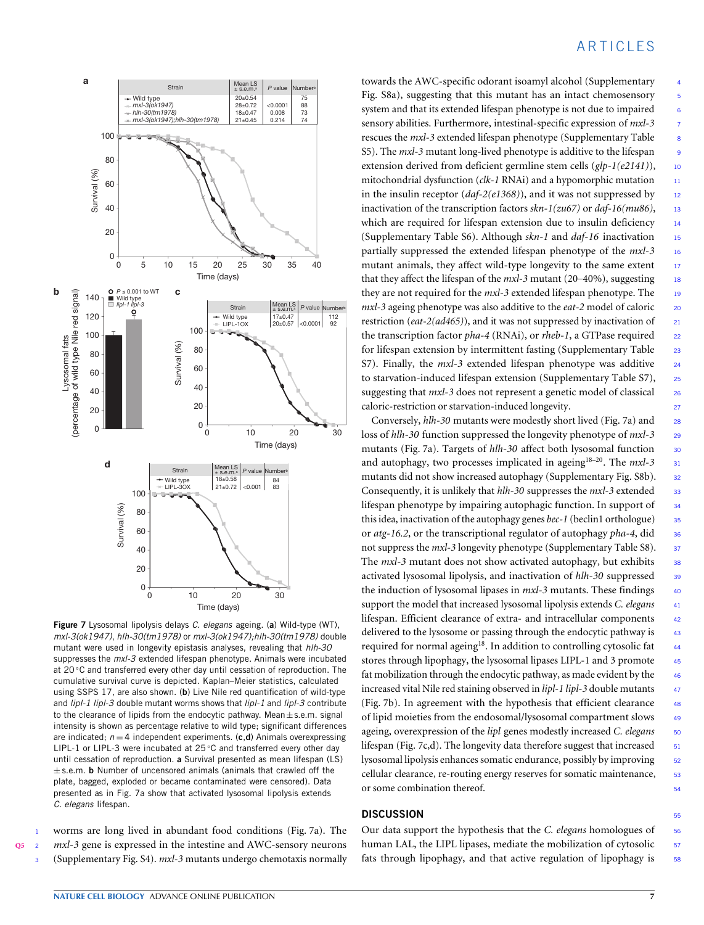

<span id="page-6-0"></span>**Figure 7** Lysosomal lipolysis delays *C. elegans* ageing. (**a**) Wild-type (WT), *mxl-3(ok1947)*, *hlh-30(tm1978)* or *mxl-3(ok1947);hlh-30(tm1978)* double mutant were used in longevity epistasis analyses, revealing that *hlh-30* suppresses the *mxl-3* extended lifespan phenotype. Animals were incubated at 20 ℃ and transferred every other day until cessation of reproduction. The cumulative survival curve is depicted. Kaplan–Meier statistics, calculated using SSPS 17, are also shown. (**b**) Live Nile red quantification of wild-type and *lipl-1 lipl-3* double mutant worms shows that *lipl-1* and *lipl-3* contribute to the clearance of lipids from the endocytic pathway. Mean $\pm$ s.e.m. signal intensity is shown as percentage relative to wild type; significant differences are indicated;  $n = 4$  independent experiments. (c,d) Animals overexpressing LIPL-1 or LIPL-3 were incubated at 25 °C and transferred every other day until cessation of reproduction. **a** Survival presented as mean lifespan (LS) ± s.e.m. **b** Number of uncensored animals (animals that crawled off the plate, bagged, exploded or became contaminated were censored). Data presented as in Fig. 7a show that activated lysosomal lipolysis extends *C. elegans* lifespan.

<span id="page-6-1"></span>

worms are long lived in abundant food conditions [\(Fig.](#page-6-0) [7a](#page-6-0)). The **[Q5](#page-11-4)** <sup>2</sup> *mxl-3* gene is expressed in the intestine and AWC-sensory neurons <sup>3</sup> (Supplementary Fig. S4). *mxl-3* mutants undergo chemotaxis normally

# **ARTICLES**

towards the AWC-specific odorant isoamyl alcohol (Supplementary <sup>4</sup> Fig. S8a), suggesting that this mutant has an intact chemosensory 5 system and that its extended lifespan phenotype is not due to impaired 6 sensory abilities. Furthermore, intestinal-specific expression of *mxl*-3 rescues the *mxl-3* extended lifespan phenotype (Supplementary Table <sup>8</sup> S5). The *mxl-3* mutant long-lived phenotype is additive to the lifespan <sup>9</sup> extension derived from deficient germline stem cells (*glp-1(e2141)*), 10 mitochondrial dysfunction (*clk-1* RNAi) and a hypomorphic mutation 11 in the insulin receptor  $(daf-2(e1368))$ , and it was not suppressed by 12 inactivation of the transcription factors  $skn-1(zu67)$  or  $daf-16(mu86)$ , 13 which are required for lifespan extension due to insulin deficiency 14 (Supplementary Table S6). Although *skn-1* and *daf-16* inactivation <sup>15</sup> partially suppressed the extended lifespan phenotype of the *mxl-3* <sup>16</sup> mutant animals, they affect wild-type longevity to the same extent 17 that they affect the lifespan of the *mxl-3* mutant (20–40%), suggesting 18 they are not required for the *mxl-3* extended lifespan phenotype. The 19 *mxl*-3 ageing phenotype was also additive to the *eat*-2 model of caloric 20 restriction (*eat-2(ad465)*), and it was not suppressed by inactivation of 21 the transcription factor *pha-4* (RNAi), or *rheb-1*, a GTPase required <sup>22</sup> for lifespan extension by intermittent fasting (Supplementary Table 23 S7). Finally, the *mxl*-3 extended lifespan phenotype was additive 24 to starvation-induced lifespan extension (Supplementary Table S7), 25 suggesting that *mxl*-3 does not represent a genetic model of classical 26 caloric-restriction or starvation-induced longevity. <sup>27</sup>

Conversely, *hlh-30* mutants were modestly short lived [\(Fig.](#page-6-0) [7a](#page-6-0)) and <sup>28</sup> loss of *hlh-30* function suppressed the longevity phenotype of *mxl-3* <sup>29</sup> mutants [\(Fig.](#page-6-0) [7a](#page-6-0)). Targets of *hlh-30* affect both lysosomal function 30 and autophagy, two processes implicated in ageing<sup>18–20</sup>. The  $mxl-3$  31 mutants did not show increased autophagy (Supplementary Fig. S8b). 32 Consequently, it is unlikely that *hlh-30* suppresses the *mxl-3* extended 33 lifespan phenotype by impairing autophagic function. In support of 34 this idea, inactivation of the autophagy genes *bec-1* (beclin1 orthologue) <sup>35</sup> or *atg-16.2*, or the transcriptional regulator of autophagy *pha-4*, did <sup>36</sup> not suppress the *mxl-3* longevity phenotype (Supplementary Table S8). <sup>37</sup> The *mxl-3* mutant does not show activated autophagy, but exhibits 38 activated lysosomal lipolysis, and inactivation of *hlh-30* suppressed 39 the induction of lysosomal lipases in *mxl-3* mutants. These findings 40 support the model that increased lysosomal lipolysis extends *C. elegans* <sup>41</sup> lifespan. Efficient clearance of extra- and intracellular components <sup>42</sup> delivered to the lysosome or passing through the endocytic pathway is 43 required for normal ageing<sup>18</sup>. In addition to controlling cytosolic fat 44 stores through lipophagy, the lysosomal lipases LIPL-1 and 3 promote 45 fat mobilization through the endocytic pathway, as made evident by the 46 increased vital Nile red staining observed in *lipl-1 lipl-3* double mutants <sup>47</sup> [\(Fig.](#page-6-0) [7b](#page-6-0)). In agreement with the hypothesis that efficient clearance <sup>48</sup> of lipid moieties from the endosomal/lysosomal compartment slows 49 ageing, overexpression of the *lipl* genes modestly increased *C. elegans* 50 lifespan [\(Fig.](#page-6-0) [7c](#page-6-0),d). The longevity data therefore suggest that increased 51 lysosomal lipolysis enhances somatic endurance, possibly by improving 52 cellular clearance, re-routing energy reserves for somatic maintenance, 53 or some combination thereof. 54

#### **DISCUSSION**

Our data support the hypothesis that the *C. elegans* homologues of 56 human LAL, the LIPL lipases, mediate the mobilization of cytosolic 57 fats through lipophagy, and that active regulation of lipophagy is 58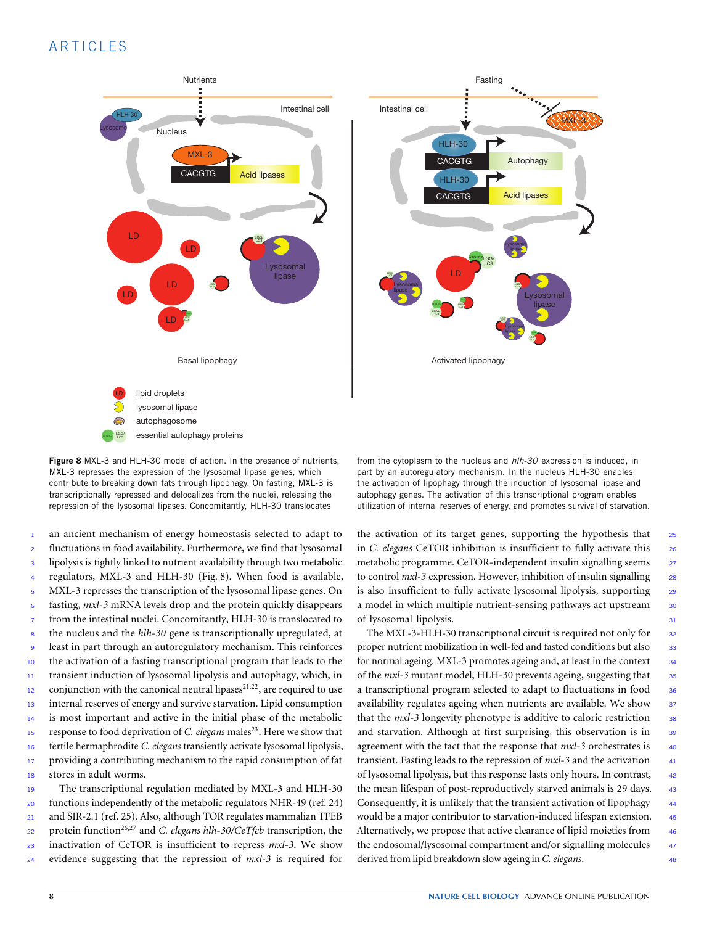# A R T I C L F S



<span id="page-7-0"></span>Figure 8 MXL-3 and HLH-30 model of action. In the presence of nutrients, MXL-3 represses the expression of the lysosomal lipase genes, which contribute to breaking down fats through lipophagy. On fasting, MXL-3 is transcriptionally repressed and delocalizes from the nuclei, releasing the repression of the lysosomal lipases. Concomitantly, HLH-30 translocates

 an ancient mechanism of energy homeostasis selected to adapt to fluctuations in food availability. Furthermore, we find that lysosomal lipolysis is tightly linked to nutrient availability through two metabolic regulators, MXL-3 and HLH-30 [\(Fig.](#page-7-0) [8\)](#page-7-0). When food is available, MXL-3 represses the transcription of the lysosomal lipase genes. On fasting, *mxl-3* mRNA levels drop and the protein quickly disappears from the intestinal nuclei. Concomitantly, HLH-30 is translocated to the nucleus and the *hlh-30* gene is transcriptionally upregulated, at least in part through an autoregulatory mechanism. This reinforces the activation of a fasting transcriptional program that leads to the transient induction of lysosomal lipolysis and autophagy, which, in conjunction with the canonical neutral lipases<sup>21,22</sup>, are required to use internal reserves of energy and survive starvation. Lipid consumption 14 is most important and active in the initial phase of the metabolic <sup>15</sup> response to food deprivation of *C. elegans* males<sup>23</sup>. Here we show that fertile hermaphrodite *C. elegans* transiently activate lysosomal lipolysis, 17 providing a contributing mechanism to the rapid consumption of fat stores in adult worms.

 The transcriptional regulation mediated by MXL-3 and HLH-30 functions independently of the metabolic regulators NHR-49 (ref. 24) and SIR-2.1 (ref. 25). Also, although TOR regulates mammalian TFEB protein function26,27 <sup>22</sup> and *C. elegans hlh-30/CeTfeb* transcription, the inactivation of CeTOR is insufficient to repress *mxl-3*. We show evidence suggesting that the repression of *mxl-3* is required for from the cytoplasm to the nucleus and *hlh-30* expression is induced, in part by an autoregulatory mechanism. In the nucleus HLH-30 enables the activation of lipophagy through the induction of lysosomal lipase and autophagy genes. The activation of this transcriptional program enables utilization of internal reserves of energy, and promotes survival of starvation.

the activation of its target genes, supporting the hypothesis that  $25$ in *C. elegans* CeTOR inhibition is insufficient to fully activate this <sup>26</sup> metabolic programme. CeTOR-independent insulin signalling seems 27 to control *mxl*-3 expression. However, inhibition of insulin signalling 28 is also insufficient to fully activate lysosomal lipolysis, supporting 29 a model in which multiple nutrient-sensing pathways act upstream 30 of lysosomal lipolysis. <sup>31</sup>

The MXL-3-HLH-30 transcriptional circuit is required not only for 32 proper nutrient mobilization in well-fed and fasted conditions but also 33 for normal ageing. MXL-3 promotes ageing and, at least in the context 34 of the *mxl*-3 mutant model, HLH-30 prevents ageing, suggesting that  $\frac{35}{25}$ a transcriptional program selected to adapt to fluctuations in food 36 availability regulates ageing when nutrients are available. We show 37 that the *mxl-3* longevity phenotype is additive to caloric restriction 38 and starvation. Although at first surprising, this observation is in 39 agreement with the fact that the response that  $mxl-3$  orchestrates is 40 transient. Fasting leads to the repression of *mxl*-3 and the activation  $41$ of lysosomal lipolysis, but this response lasts only hours. In contrast, <sup>42</sup> the mean lifespan of post-reproductively starved animals is 29 days. 43 Consequently, it is unlikely that the transient activation of lipophagy 44 would be a major contributor to starvation-induced lifespan extension. 45 Alternatively, we propose that active clearance of lipid moieties from 46 the endosomal/lysosomal compartment and/or signalling molecules 47 derived from lipid breakdown slow ageing in *C. elegans*. <sup>48</sup>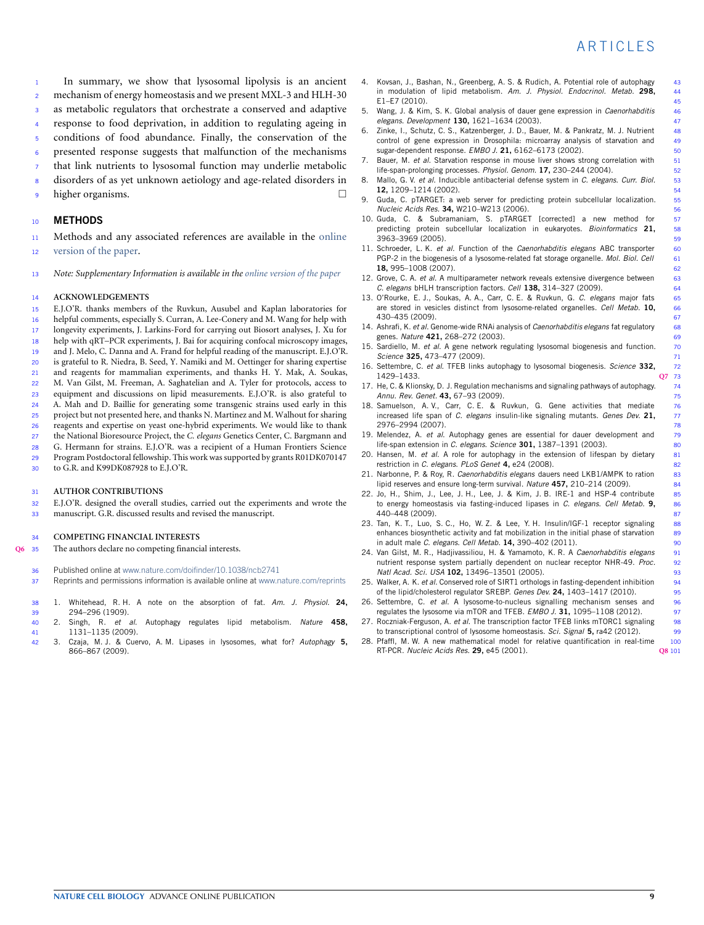<sup>1</sup> In summary, we show that lysosomal lipolysis is an ancient <sup>2</sup> mechanism of energy homeostasis and we present MXL-3 and HLH-30 as metabolic regulators that orchestrate a conserved and adaptive response to food deprivation, in addition to regulating ageing in

- conditions of food abundance. Finally, the conservation of the
- <sup>6</sup> presented response suggests that malfunction of the mechanisms
- that link nutrients to lysosomal function may underlie metabolic
- 8 disorders of as yet unknown aetiology and age-related disorders in
- <sup>9</sup> higher organisms.

#### <sup>10</sup> **METHODS**

<sup>11</sup> [M](http://www.nature.com/doifinder/10.1038/ncb2741)ethods and any associated references are available in the [online](http://www.nature.com/doifinder/10.1038/ncb2741) <sup>12</sup> [version of the paper.](http://www.nature.com/doifinder/10.1038/ncb2741)

<sup>13</sup> *Note: Supplementary Information is available in the [online version of the paper](http://www.nature.com/doifinder/10.1038/ncb2741)*

#### <sup>14</sup> **ACKNOWLEDGEMENTS**

- <sup>15</sup> E.J.O'R. thanks members of the Ruvkun, Ausubel and Kaplan laboratories for 16 helpful comments, especially S. Curran, A. Lee-Conery and M. Wang for help with<br>17 longevity experiments, L. Larkins-Ford for carrying out Biosort analyses. L. Xu for longevity experiments, J. Larkins-Ford for carrying out Biosort analyses, J. Xu for <sup>18</sup> help with qRT–PCR experiments, J. Bai for acquiring confocal microscopy images, <sup>19</sup> and J. Melo, C. Danna and A. Frand for helpful reading of the manuscript. E.J.O'R. <sup>20</sup> is grateful to R. Niedra, B. Seed, Y. Namiki and M. Oettinger for sharing expertise <sup>21</sup> and reagents for mammalian experiments, and thanks H. Y. Mak, A. Soukas, <sup>22</sup> M. Van Gilst, M. Freeman, A. Saghatelian and A. Tyler for protocols, access to <sup>23</sup> equipment and discussions on lipid measurements. E.J.O'R. is also grateful to <sup>24</sup> A. Mah and D. Baillie for generating some transgenic strains used early in this 25 project but not presented here, and thanks N. Martinez and M. Walhout for sharing<br>26 reagents and expertise on veast one-hybrid experiments. We would like to thank reagents and expertise on yeast one-hybrid experiments. We would like to thank
- <sup>27</sup> the National Bioresource Project, the *C. elegans* Genetics Center, C. Bargmann and
- <sup>28</sup> G. Hermann for strains. E.J.O'R. was a recipient of a Human Frontiers Science
- 29 Program Postdoctoral fellowship. This work was supported by grants R01DK070147<br>30 to G.R. and K99DK087928 to E.I.O'R.
- <sup>30</sup> to G.R. and K99DK087928 to E.J.O'R.

#### <sup>31</sup> **AUTHOR CONTRIBUTIONS**

- $32$  E.J.O'R. designed the overall studies, carried out the experiments and wrote the manuscript  $\overline{GR}$  discussed results and revised the manuscript
- manuscript. G.R. discussed results and revised the manuscript.

#### <sup>34</sup> **COMPETING FINANCIAL INTERESTS**

- <span id="page-8-0"></span>**[Q6](#page-11-5)** <sup>35</sup> The authors declare no competing financial interests.
	- 36 Published online at [www.nature.com/doifinder/10.1038/ncb2741](http://www.nature.com/doifinder/10.1038/ncb2741)
	- 37 Reprints and permissions information is available online at [www.nature.com/reprints](http://www.nature.com/reprints)
	- 38 1. Whitehead, R. H. A note on the absorption of fat. *Am. J. Physiol.* **24,**
	- 39 294–296 (1909).<br>40 2. Singh. R. et 40 2. Singh, R. *et al*. Autophagy regulates lipid metabolism. *Nature* **458,** 41 1131–1135 (2009).<br>42 3. Czaia, M. J. & Cue
	- 42 3. Czaja, M. J. & Cuervo, A. M. Lipases in lysosomes, what for? *Autophagy* **5,** 866–867 (2009).
- 4. Kovsan, J., Bashan, N., Greenberg, A. S. & Rudich, A. Potential role of autophagy 43 in modulation of lipid metabolism. *Am. J. Physiol. Endocrinol. Metab.* **298,** 44 45<br>Wang, J. & Kim, S. K. Global analysis of dauer gene expression in *Caenorhabditis* 46
- 5. Wang, J. & Kim, S. K. Global analysis of dauer gene expression in *Caenorhabditis* 46 *elegans*. *Development* **130,** 1621–1634 (2003). 47
- 6. Zinke, I., Schutz, C. S., Katzenberger, J. D., Bauer, M. & Pankratz, M. J. Nutrient 48 control of gene expression in Drosophila: microarray analysis of starvation and sugar-dependent response. *EMBO J.* **21,** 6162–6173 (2002). 50
- 7. Bauer, M. *et al.* Starvation response in mouse liver shows strong correlation with 51<br>life-span-prolonging processes. *Physiol. Genom.* **17.** 230–244 (2004). life-span-prolonging processes. *Physiol. Genom.* 17, 230–244 (2004).
- 8. Mallo, G. V. *et al*. Inducible antibacterial defense system in *C. elegans*. *Curr. Biol.* 53 **12,** 1209–1214 (2002). 54
- 9. Guda, C. pTARGET: a web server for predicting protein subcellular localization. *Nucleic Acids Res.* **34,** W210–W213 (2006). 56
- 10. Guda, C. & Subramaniam, S. pTARGET [corrected] a new method for predicting protein subcellular localization in eukaryotes. *Bioinformatics* **21,** 58 3963–3969 (2005). 59
- 11. Schroeder, L. K. *et al*. Function of the *Caenorhabditis elegans* ABC transporter 60 PGP-2 in the biogenesis of a lysosome-related fat storage organelle. Mol. Biol. Cell **18,** 995–1008 (2007). 62
- 12. Grove, C. A. *et al.* A multiparameter network reveals extensive divergence between *C. elegans* bHLH transcription factors. *Cell* **138,** 314–327 (2009). 64
- 13. O'Rourke, E. J., Soukas, A. A., Carr, C. E. & Ruvkun, G. *C. elegans* major fats 65 are stored in vesicles distinct from lysosome-related organelles. *Cell Metab.* 10,
- 430–435 (2009).<br>Ashrafi, K. et al. Genome-wide RNAi analysis of *Caenorhabditis elegans* fat regulatory 68 14. Ashrafi, K. *et al*. Genome-wide RNAi analysis of *Caenorhabditis elegans* fat regulatory 68 genes. *Nature* 421, 268-272 (2003).
- 15. Sardiello, M. *et al*. A gene network regulating lysosomal biogenesis and function. 70 *Science* **325,** 473–477 (2009). 71
- <span id="page-8-1"></span>16. Settembre, C. *et al*. TFEB links autophagy to lysosomal biogenesis. *Science* **332,** 72 1429–1433. **[Q7](#page-11-6)** 73
- 17. He, C. & Klionsky, D. J. Regulation mechanisms and signaling pathways of autophagy. 74<br>Annu. Rev. Genet. 43. 67–93 (2009). 75 *Annu. Rev. Genet.* **43,** 67–93 (2009). 75
- 18. Samuelson, A. V., Carr, C. E. & Ruvkun, G. Gene activities that mediate 76<br>increased life span of C. elegans insulin-like signaling mutants. Genes Dev. 21, increased life span of *C. elegans* insulin-like signaling mutants. *Genes Dev.* **21,** 77 78 2976–2994 (2007).<br>29 Melendez, A. *et al.* Autophagy genes are essential for dauer development and
- 19. Melendez, A. *et al.* Autophagy genes are essential for dauer development and 79<br>life-span extension in C. elegans. Science 301, 1387–1391 (2003). life-span extension in *C. elegans. Science* **301**, 1387–1391 (2003).
- 20. Hansen, M. *et al*. A role for autophagy in the extension of lifespan by dietary 81 restriction in *C. elegans*. *PLoS Genet* **4,** e24 (2008). 82
- 21. Narbonne, P. & Roy, R. *Caenorhabditis elegans* dauers need LKB1/AMPK to ration 83 lipid reserves and ensure long-term survival. *Nature* **457,** 210–214 (2009). 84
- 22. Jo, H., Shim, J., Lee, J. H., Lee, J. & Kim, J. B. IRE-1 and HSP-4 contribute 85 to energy homeostasis via fasting-induced lipases in *C. elegans*. *Cell Metab.* **9,** 86 440–448 (2009). 87
- 23. Tan, K. T., Luo, S. C., Ho, W. Z. & Lee, Y. H. Insulin/IGF-1 receptor signaling 88 enhances biosynthetic activity and fat mobilization in the initial phase of starvation 89 in adult male *C. elegans*. *Cell Metab.* **14,** 390–402 (2011). 90
- 24. Van Gilst, M. R., Hadjivassiliou, H. & Yamamoto, K. R. A *Caenorhabditis elegans* 91 nutrient response system partially dependent on nuclear receptor NHR-49. *Proc.* 92 *Natl Acad. Sci. USA* **102,** 13496–13501 (2005). 93
- 25. Walker, A. K. *et al*. Conserved role of SIRT1 orthologs in fasting-dependent inhibition 94 of the lipid/cholesterol regulator SREBP. *Genes Dev.* 24, 1403-1417 (2010).
- 26. Settembre, C. *et al.* A lysosome-to-nucleus signalling mechanism senses and 96<br>regulates the lysosome via mTOR and TFEB. *EMBO J.* **31**, 1095–1108 (2012). regulates the lysosome via mTOR and TFEB. *EMBO J.* **31,** 1095–1108 (2012).
- 27. Roczniak-Ferguson, A. *et al*. The transcription factor TFEB links mTORC1 signaling 98 to transcriptional control of lysosome homeostasis. *Sci. Signal* **5,** ra42 (2012). 99
- <span id="page-8-2"></span>28. Pfaffl, M. W. A new mathematical model for relative quantification in real-time 100 RT-PCR. *Nucleic Acids Res.* **29,** e45 (2001). **[Q8](#page-11-7)** 101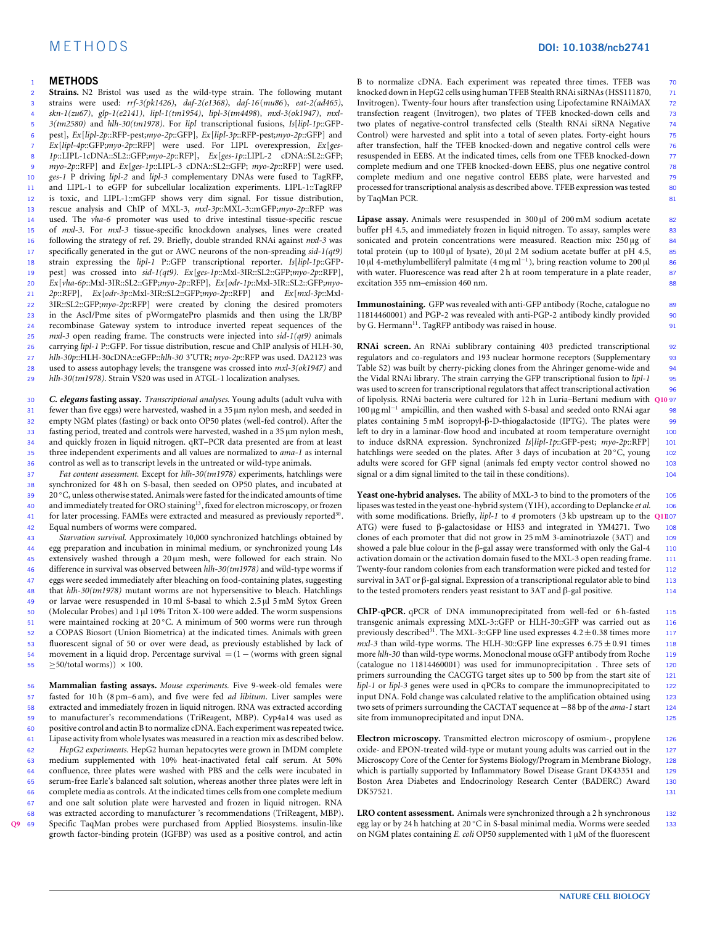#### M E T H O D S **DOI: 10.1038/ncb2741**

#### <sup>1</sup> **METHODS**

 **Strains.** N2 Bristol was used as the wild-type strain. The following mutant strains were used: *rrf-3(pk1426)*, *daf-2(e1368)*, *daf-16*(*mu86*), *eat-2(ad465)*, *skn-1(zu67)*, *glp-1(e2141)*, *lipl-1(tm1954)*, *lipl-3(tm4498*), *mxl-3(ok1947)*, *mxl- 3(tm2580)* and *hlh-30(tm1978)*. For *lipl* transcriptional fusions, *Is*[*lipl-1p*::GFP- pest], *Ex*[*lipl-2p*::RFP-pest;*myo-2p*::GFP], *Ex*[*lipl-3p*::RFP-pest;*myo-2p*::GFP] and *Ex*[*lipl-4p*::GFP;*myo-2p*::RFP] were used. For LIPL overexpression, *Ex*[*ges- 1p*::LIPL-1cDNA::SL2::GFP;*myo-2p*::RFP], *Ex*[*ges-1p*::LIPL-2 cDNA::SL2::GFP; *myo-2p*::RFP] and *Ex*[*ges-1p*::LIPL-3 cDNA::SL2::GFP; *myo-2p*::RFP] were used. *ges-1* P driving *lipl-2* and *lipl-3* complementary DNAs were fused to TagRFP, and LIPL-1 to eGFP for subcellular localization experiments. LIPL-1::TagRFP is toxic, and LIPL-1::mGFP shows very dim signal. For tissue distribution, rescue analysis and ChIP of MXL-3, *mxl-3p*::MXL-3::mGFP;*myo-2p*::RFP was used. The *vha-6* promoter was used to drive intestinal tissue-specific rescue 15 of *mxl-3*. For *mxl-3* tissue-specific knockdown analyses, lines were created<br>16 following the strategy of ref 29 Briefly, double stranded RNAi against *mxl-3* was following the strategy of ref. 29. Briefly, double stranded RNAi against *mxl-3* was specifically generated in the gut or AWC neurons of the non-spreading *sid-1(qt9)* strain expressing the *lipl-1* P::GFP transcriptional reporter. *Is*[*lipl-1p*::GFP- pest] was crossed into *sid-1(qt9)*. *Ex*[*ges-1p*::Mxl-3IR::SL2::GFP;*myo-2p*::RFP], *Ex*[*vha-6p*::Mxl-3IR::SL2::GFP;*myo-2p*::RFP], *Ex*[*odr-1p*::Mxl-3IR::SL2::GFP;*myo- 2p*::RFP], *Ex*[*odr-3p*::Mxl-3IR::SL2::GFP;*myo-2p*::RFP] and *Ex*[*mxl-3p*::Mxl- 3IR::SL2::GFP;*myo-2p*::RFP] were created by cloning the desired promoters in the AscI/Pme sites of pWormgatePro plasmids and then using the LR/BP recombinase Gateway system to introduce inverted repeat sequences of the *mxl-3* open reading frame. The constructs were injected into *sid-1(qt9)* animals carrying *lipl-1* P::GFP. For tissue distribution, rescue and ChIP analysis of HLH-30, *hlh-30p*::HLH-30cDNA::eGFP::*hlh-30* 3'UTR; *myo-2p*::RFP was used. DA2123 was used to assess autophagy levels; the transgene was crossed into *mxl-3(ok1947)* and *hlh-30(tm1978)*. Strain VS20 was used in ATGL-1 localization analyses.

<sup>30</sup> *C. elegans* **fasting assay.** *Transcriptional analyses.* Young adults (adult vulva with fewer than five eggs) were harvested, washed in a 35 µm nylon mesh, and seeded in <sup>32</sup> empty NGM plates (fasting) or back onto OP50 plates (well-fed control). After the fasting period, treated and controls were harvested, washed in a 35 µm nylon mesh, <sup>34</sup> and quickly frozen in liquid nitrogen. qRT–PCR data presented are from at least <sup>35</sup> three independent experiments and all values are normalized to *ama-1* as internal 36 control as well as to transcript levels in the untreated or wild-type animals.<br> $\frac{37}{47}$  Eqt content assessment Except for  $h/h$ -30(tm1978) experiments batchli

<sup>37</sup> *Fat content assessment.* Except for *hlh-30(tm1978)* experiments, hatchlings were synchronized for 48 h on S-basal, then seeded on OP50 plates, and incubated at 39 20 °C, unless otherwise stated. Animals were fasted for the indicated amounts of time and immediately treated for ORO staining<sup>13</sup>, fixed for electron microscopy, or frozen 41 for later processing. FAMEs were extracted and measured as previously reported<sup>30</sup>. <sup>42</sup> Equal numbers of worms were compared.

 *Starvation survival.* Approximately 10,000 synchronized hatchlings obtained by egg preparation and incubation in minimal medium, or synchronized young L4s extensively washed through a 20 µm mesh, were followed for each strain. No difference in survival was observed between *hlh-30(tm1978)* and wild-type worms if eggs were seeded immediately after bleaching on food-containing plates, suggesting that *hlh-30(tm1978)* mutant worms are not hypersensitive to bleach. Hatchlings or larvae were resuspended in 10 ml S-basal to which 2.5 µl 5 mM Sytox Green 50 (Molecular Probes) and 1  $\mu$ l 10% Triton X-100 were added. The worm suspensions 51 were maintained rocking at 20 °C. A minimum of 500 worms were run through a COPAS Biosort (Union Biometrica) at the indicated times. Animals with green fluorescent signal of 50 or over were dead, as previously established by lack of movement in a liquid drop. Percentage survival = (1 − (worms with green signal  $>50/total$  worms))  $\times 100$ .

<span id="page-9-0"></span> **Mammalian fasting assays.** *Mouse experiments.* Five 9-week-old females were fasted for 10 h (8 pm–6 am), and five were fed *ad libitum*. Liver samples were extracted and immediately frozen in liquid nitrogen. RNA was extracted according to manufacturer's recommendations (TriReagent, MBP). Cyp4a14 was used as positive control and actin B to normalize cDNA. Each experiment was repeated twice.<br> $\overline{61}$  linage activity from whole lysates was measured in a reaction mix as described below. 61 Lipase activity from whole lysates was measured in a reaction mix as described below.<br> $\epsilon_6$  HepG2 experiments. HepG2 human hepatocytes were grown in IMDM complete *HepG2 experiments.* HepG2 human hepatocytes were grown in IMDM complete medium supplemented with 10% heat-inactivated fetal calf serum. At 50% confluence, three plates were washed with PBS and the cells were incubated in serum-free Earle's balanced salt solution, whereas another three plates were left in complete media as controls. At the indicated times cells from one complete medium and one salt solution plate were harvested and frozen in liquid nitrogen. RNA was extracted according to manufacturer 's recommendations (TriReagent, MBP). **[Q9](#page-11-8)** <sup>69</sup> Specific TaqMan probes were purchased from Applied Biosystems. insulin-like growth factor-binding protein (IGFBP) was used as a positive control, and actin

B to normalize cDNA. Each experiment was repeated three times. TFEB was <sup>70</sup> knocked down in HepG2 cells using human TFEB Stealth RNAi siRNAs (HSS111870, 71 Invitrogen). Twenty-four hours after transfection using Lipofectamine RNAiMAX <sup>72</sup> transfection reagent (Invitrogen), two plates of TFEB knocked-down cells and 73<br>two plates of negative-control transfected cells (Stealth RNAi siRNA Negative 74 two plates of negative-control transfected cells (Stealth RNAi siRNA Negative 74<br>Control) were harvested and split into a total of seven plates. Fortv-eight hours 75 Control) were harvested and split into a total of seven plates. Forty-eight hours after transfection, half the TFEB knocked-down and negative control cells were 76 resuspended in EEBS. At the indicated times, cells from one TFEB knocked-down 77<br>complete medium and one TFEB knocked-down EEBS, plus one negative control 78 complete medium and one TFEB knocked-down EEBS, plus one negative control 78<br>complete medium and one negative control EEBS plate, were harvested and 79 complete medium and one negative control EEBS plate, were harvested and 79<br>processed for transcriptional analysis as described above. TFEB expression was tested processed for transcriptional analysis as described above. TFEB expression was tested by TaqMan PCR. 81

**Lipase assay.** Animals were resuspended in 300 µl of 200 mM sodium acetate 82 buffer pH 4.5, and immediately frozen in liquid nitrogen. To assay, samples were 83<br>sonicated and protein concentrations were measured. Reaction mix: 250 µg of 84 sonicated and protein concentrations were measured. Reaction mix: 250 µg of total protein (up to  $100 \mu$ l of lysate),  $20 \mu$ l  $2 M$  sodium acetate buffer at pH 4.5, 85 10 μl 4-methylumbelliferyl palmitate (4 mg ml<sup>-1</sup>), bring reaction volume to 200 μl 86 with water. Fluorescence was read after 2 h at room temperature in a plate reader, 87<br>excitation 355 nm-emission 460 nm. excitation 355 nm-emission 460 nm.

**Immunostaining.** GFP was revealed with anti-GFP antibody (Roche, catalogue no 89 11814460001) and PGP-2 was revealed with anti-PGP-2 antibody kindly provided <sup>90</sup> by G. Hermann<sup>11</sup>. TagRFP antibody was raised in house. 91

<span id="page-9-1"></span>**RNAi screen.** An RNAi sublibrary containing 403 predicted transcriptional 92 regulators and co-regulators and 193 nuclear hormone receptors (Supplementary 93<br>Table S2) was built by cherry-picking clones from the Ahringer genome-wide and 94 Table S2) was built by cherry-picking clones from the Ahringer genome-wide and the Vidal RNAi library. The strain carrying the GFP transcriptional fusion to *lipl-1* <sup>95</sup> was used to screen for transcriptional regulators that affect transcriptional activation <sup>96</sup> of lipolysis. RNAi bacteria were cultured for 12 h in Luria–Bertani medium with **[Q10](#page-11-9)** <sup>97</sup> 100 μg ml<sup>-1</sup> ampicillin, and then washed with S-basal and seeded onto RNAi agar 98 plates containing 5 mM isopropyl-β-D-thiogalactoside (IPTG). The plates were 99<br>left to drv in a laminar-flow hood and incubated at room temperature overnight 100 left to dry in a laminar-flow hood and incubated at room temperature overnight to induce dsRNA expression. Synchronized *Is*[*lipl-1p*::GFP-pest; *myo-2p*::RFP] <sup>101</sup> hatchlings were seeded on the plates. After 3 days of incubation at  $20 °C$ , young 102<br>adults were scored for GFP signal (animals fed empty vector control showed no adults were scored for GFP signal (animals fed empty vector control showed no 103<br>signal or a dim signal limited to the tail in these conditions). signal or a dim signal limited to the tail in these conditions).

<span id="page-9-2"></span>**Yeast one-hybrid analyses.** The ability of MXL-3 to bind to the promoters of the 105 lipases was tested in the veast one-hybrid system (Y1H), according to Deplancke *et al.* 106 lipases was tested in the yeast one-hybrid system (Y1H), according to Deplancke *et al.* with some modifications. Briefly, *lipl-1* to *4* promoters (3 kb upstream up to the **[Q11](#page-11-10)**<sup>107</sup> ATG) were fused to β-galactosidase or HIS3 and integrated in YM4271. Two <sup>108</sup> clones of each promoter that did not grow in 25 mM 3-aminotriazole (3AT) and 109 showed a pale blue colour in the β-gal assay were transformed with only the Gal-4 110 activation domain or the activation domain fused to the MXL-3 open reading frame. <sup>111</sup> Twenty-four random colonies from each transformation were picked and tested for 112 survival in 3AT or β-gal signal. Expression of a transcriptional regulator able to bind 113 to the tested promoters renders yeast resistant to  $3AT$  and  $\beta$ -gal positive. 114

**ChIP-qPCR.** qPCR of DNA immunoprecipitated from well-fed or 6h-fasted 115 transgenic animals expressing MXL-3::GFP or HLH-30::GFP was carried out as 116 previously described<sup>31</sup>. The MXL-3::GFP line used expresses  $4.2 \pm 0.38$  times more 117  $mxl-3$  than wild-type worms. The HLH-30::GFP line expresses  $6.75 \pm 0.91$  times 118 more *hlh-30* than wild-type worms. Monoclonal mouse αGFP antibody from Roche <sup>119</sup> (catalogue no 11814460001) was used for immunoprecipitation . Three sets of <sup>120</sup> primers surrounding the CACGTG target sites up to 500 bp from the start site of *lipl-1* or *lipl-3* genes were used in qPCRs to compare the immunoprecipitated to 122 input DNA. Fold change was calculated relative to the amplification obtained using 123 two sets of primers surrounding the CACTAT sequence at −88 bp of the *ama-1* start <sup>124</sup> site from immunoprecipitated and input DNA. 125

**Electron microscopy.** Transmitted electron microscopy of osmium-, propylene 126 oxide- and EPON-treated wild-type or mutant young adults was carried out in the <sup>127</sup> Microscopy Core of the Center for Systems Biology/Program in Membrane Biology, 128 which is partially supported by Inflammatory Bowel Disease Grant DK43351 and 129 Boston Area Diabetes and Endocrinology Research Center (BADERC) Award <sup>130</sup> DK57521. <sup>131</sup>

**LRO content assessment.** Animals were synchronized through a 2 h synchronous 132 egg lay or by 24 h hatching at 20 °C in S-basal minimal media. Worms were seeded 133 on NGM plates containing *E. coli* OP50 supplemented with 1 µM of the fluorescent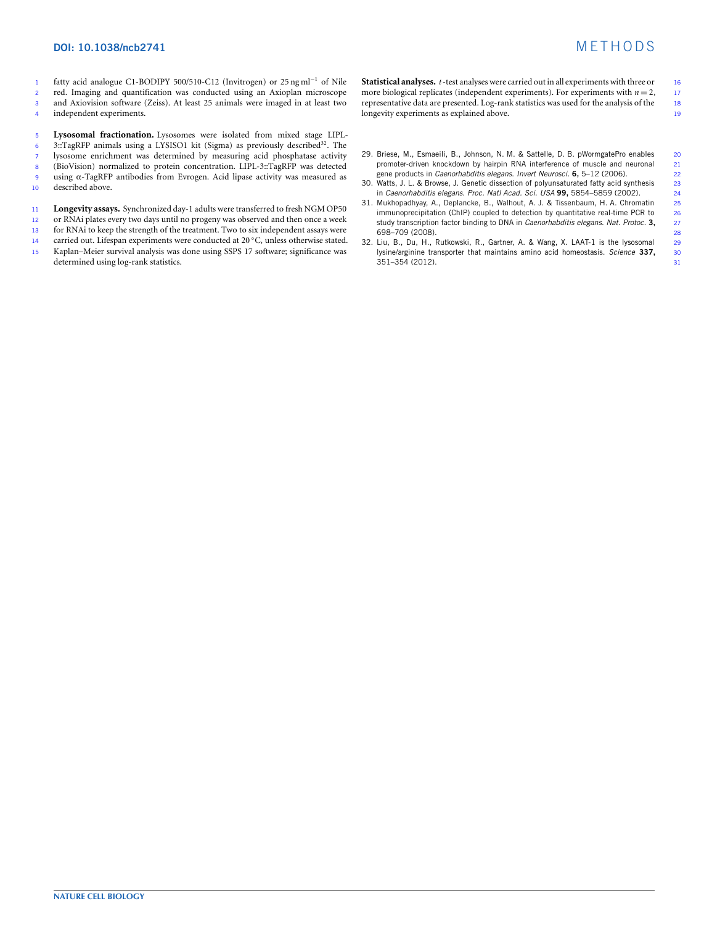#### **DOI: 10.1038/ncb2741** M E T H O D S

fatty acid analogue C1-BODIPY 500/510-C12 (Invitrogen) or 25 ng ml<sup>−</sup><sup>1</sup> <sup>1</sup> of Nile red. Imaging and quantification was conducted using an Axioplan microscope and Axiovision software (Zeiss). At least 25 animals were imaged in at least two independent experiments.

<sup>5</sup> **Lysosomal fractionation.** Lysosomes were isolated from mixed stage LIPL- $\overline{3}$ : TagRFP animals using a LYSISO1 kit (Sigma) as previously described<sup>32</sup>. The 7 lysosome enrichment was determined by measuring acid phosphatase activity<br>8 (BioVision) normalized to protein concentration. LIPL-3::TagRFP was detected (BioVision) normalized to protein concentration. LIPL-3::TagRFP was detected <sup>9</sup> using α-TagRFP antibodies from Evrogen. Acid lipase activity was measured as described above.

- 11 **Longevity assays.** Synchronized day-1 adults were transferred to fresh NGM OP50<br>12 or RNAi plates every two days until no progeny was observed and then once a week
- 12 or RNAi plates every two days until no progeny was observed and then once a week<br>13 for RNAi to keep the strength of the treatment. Two to six independent assays were
- 13 for RNAi to keep the strength of the treatment. Two to six independent assays were<br>14 carried out. Lifespan experiments were conducted at  $20^{\circ}$ C, unless otherwise stated.
- 14 carried out. Lifespan experiments were conducted at 20 ℃, unless otherwise stated. <sup>15</sup> Kaplan–Meier survival analysis was done using SSPS 17 software; significance was determined using log-rank statistics.

**Statistical analyses.** *t*-test analyses were carried out in all experiments with three or 16 more biological replicates (independent experiments). For experiments with  $n = 2$ , 17 more biological replicates (independent experiments). For experiments with  $n = 2$ , representative data are presented. Log-rank statistics was used for the analysis of the <sup>18</sup> longevity experiments as explained above.

- 29. Briese, M., Esmaeili, B., Johnson, N. M. & Sattelle, D. B. pWormgatePro enables 20<br>promoter-driven knockdown by hairpin RNA interference of muscle and neuronal 21 promoter-driven knockdown by hairpin RNA interference of muscle and neuronal gene products in *Caenorhabditis elegans*. *Invert Neurosci.* **6,** 5–12 (2006). 22
- 30. Watts, J. L. & Browse, J. Genetic dissection of polyunsaturated fatty acid synthesis 23
- in *Caenorhabditis elegans*. *Proc. Natl Acad. Sci. USA* **99,** 5854–5859 (2002). 24 31. Mukhopadhyay, A., Deplancke, B., Walhout, A. J. & Tissenbaum, H. A. Chromatin 25<br>immunoprecipitation (ChIP) coupled to detection by quantitative real-time PCR to immunoprecipitation (ChIP) coupled to detection by quantitative real-time PCR to  $26$ <br>study transcription factor binding to DNA in *Caenorhabditis elegans. Nat. Protoc.* 3. 27 study transcription factor binding to DNA in *Caenorhabditis elegans. Nat. Protoc.* 3. 698–709 (2008). 28
- 32. Liu, B., Du, H., Rutkowski, R., Gartner, A. & Wang, X. LAAT-1 is the lysosomal 29<br>lysine/arginine transporter that maintains amino acid homeostasis. Science 337, 30 lysine/arginine transporter that maintains amino acid homeostasis. *Science* **337,** 30  $351 - 354$  (2012).